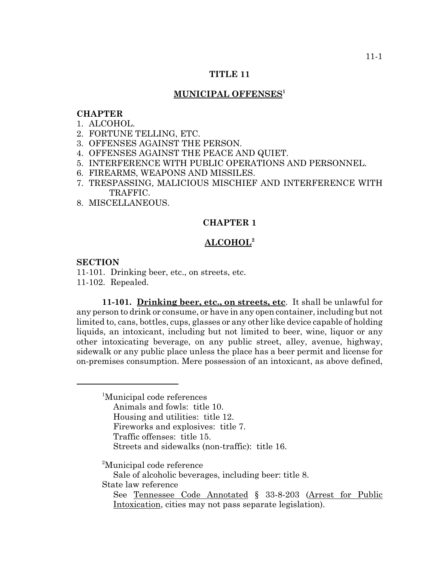## **TITLE 11**

## **MUNICIPAL OFFENSES1**

#### **CHAPTER**

- 1. ALCOHOL.
- 2. FORTUNE TELLING, ETC.
- 3. OFFENSES AGAINST THE PERSON.
- 4. OFFENSES AGAINST THE PEACE AND QUIET.
- 5. INTERFERENCE WITH PUBLIC OPERATIONS AND PERSONNEL.
- 6. FIREARMS, WEAPONS AND MISSILES.
- 7. TRESPASSING, MALICIOUS MISCHIEF AND INTERFERENCE WITH TRAFFIC.
- 8. MISCELLANEOUS.

# **CHAPTER 1**

### **ALCOHOL2**

## **SECTION**

11-101. Drinking beer, etc., on streets, etc. 11-102. Repealed.

**11-101. Drinking beer, etc., on streets, etc**. It shall be unlawful for any person to drink or consume, or have in any open container, including but not limited to, cans, bottles, cups, glasses or any other like device capable of holding liquids, an intoxicant, including but not limited to beer, wine, liquor or any other intoxicating beverage, on any public street, alley, avenue, highway, sidewalk or any public place unless the place has a beer permit and license for on-premises consumption. Mere possession of an intoxicant, as above defined,

<sup>1</sup>Municipal code references Animals and fowls: title 10. Housing and utilities: title 12. Fireworks and explosives: title 7. Traffic offenses: title 15. Streets and sidewalks (non-traffic): title 16.

<sup>2</sup>Municipal code reference

Sale of alcoholic beverages, including beer: title 8.

State law reference

See Tennessee Code Annotated § 33-8-203 (Arrest for Public Intoxication, cities may not pass separate legislation).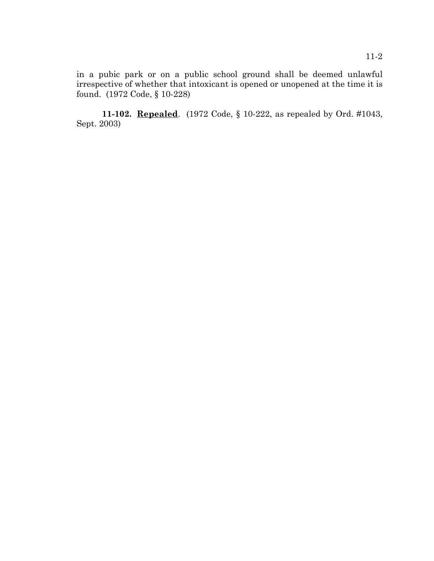in a pubic park or on a public school ground shall be deemed unlawful irrespective of whether that intoxicant is opened or unopened at the time it is found. (1972 Code, § 10-228)

**11-102. Repealed**. (1972 Code, § 10-222, as repealed by Ord. #1043, Sept. 2003)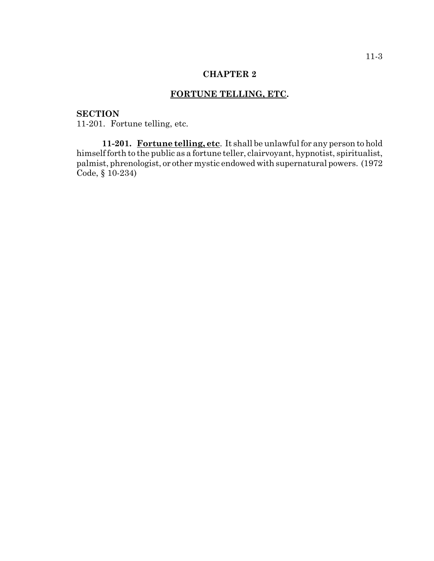# **FORTUNE TELLING, ETC.**

# **SECTION**

11-201. Fortune telling, etc.

**11-201. Fortune telling, etc**. It shall be unlawful for any person to hold himself forth to the public as a fortune teller, clairvoyant, hypnotist, spiritualist, palmist, phrenologist, or other mystic endowed with supernatural powers. (1972 Code, § 10-234)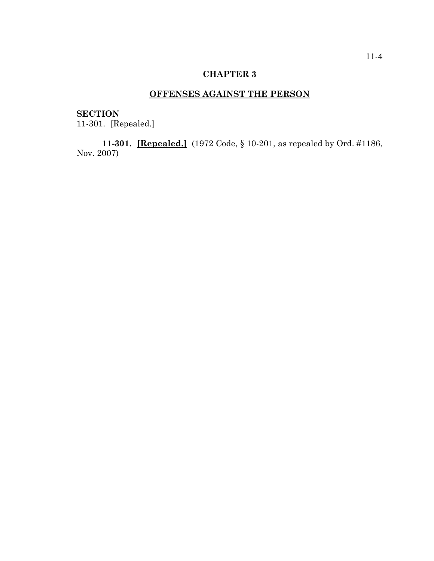# **OFFENSES AGAINST THE PERSON**

# **SECTION**

11-301. [Repealed.]

**11-301. [Repealed.]** (1972 Code, § 10-201, as repealed by Ord. #1186, Nov. 2007)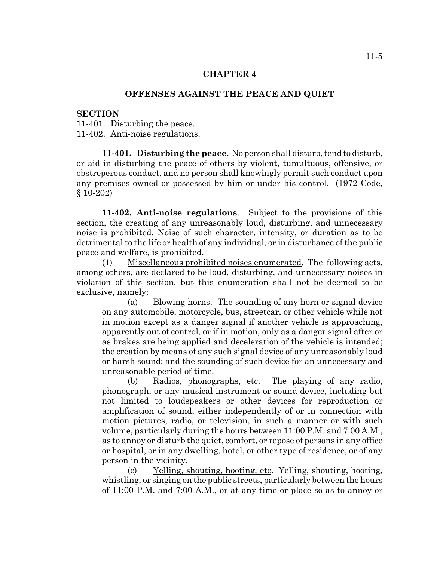# **OFFENSES AGAINST THE PEACE AND QUIET**

#### **SECTION**

11-401. Disturbing the peace. 11-402. Anti-noise regulations.

**11-401. Disturbing the peace**. No person shall disturb, tend to disturb, or aid in disturbing the peace of others by violent, tumultuous, offensive, or obstreperous conduct, and no person shall knowingly permit such conduct upon any premises owned or possessed by him or under his control. (1972 Code, § 10-202)

**11-402. Anti-noise regulations**. Subject to the provisions of this section, the creating of any unreasonably loud, disturbing, and unnecessary noise is prohibited. Noise of such character, intensity, or duration as to be detrimental to the life or health of any individual, or in disturbance of the public peace and welfare, is prohibited.

(1) Miscellaneous prohibited noises enumerated. The following acts, among others, are declared to be loud, disturbing, and unnecessary noises in violation of this section, but this enumeration shall not be deemed to be exclusive, namely:

(a) Blowing horns. The sounding of any horn or signal device on any automobile, motorcycle, bus, streetcar, or other vehicle while not in motion except as a danger signal if another vehicle is approaching, apparently out of control, or if in motion, only as a danger signal after or as brakes are being applied and deceleration of the vehicle is intended; the creation by means of any such signal device of any unreasonably loud or harsh sound; and the sounding of such device for an unnecessary and unreasonable period of time.

(b) Radios, phonographs, etc. The playing of any radio, phonograph, or any musical instrument or sound device, including but not limited to loudspeakers or other devices for reproduction or amplification of sound, either independently of or in connection with motion pictures, radio, or television, in such a manner or with such volume, particularly during the hours between 11:00 P.M. and 7:00 A.M., as to annoy or disturb the quiet, comfort, or repose of persons in any office or hospital, or in any dwelling, hotel, or other type of residence, or of any person in the vicinity.

(c) Yelling, shouting, hooting, etc. Yelling, shouting, hooting, whistling, or singing on the public streets, particularly between the hours of 11:00 P.M. and 7:00 A.M., or at any time or place so as to annoy or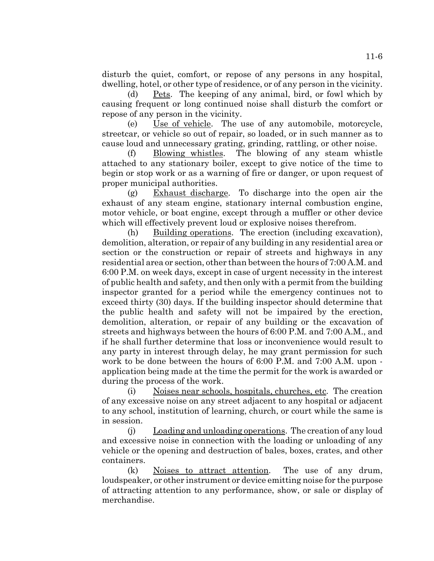disturb the quiet, comfort, or repose of any persons in any hospital, dwelling, hotel, or other type of residence, or of any person in the vicinity.

(d) Pets. The keeping of any animal, bird, or fowl which by causing frequent or long continued noise shall disturb the comfort or repose of any person in the vicinity.

(e) Use of vehicle. The use of any automobile, motorcycle, streetcar, or vehicle so out of repair, so loaded, or in such manner as to cause loud and unnecessary grating, grinding, rattling, or other noise.

(f) Blowing whistles. The blowing of any steam whistle attached to any stationary boiler, except to give notice of the time to begin or stop work or as a warning of fire or danger, or upon request of proper municipal authorities.

(g) Exhaust discharge. To discharge into the open air the exhaust of any steam engine, stationary internal combustion engine, motor vehicle, or boat engine, except through a muffler or other device which will effectively prevent loud or explosive noises therefrom.

(h) Building operations. The erection (including excavation), demolition, alteration, or repair of any building in any residential area or section or the construction or repair of streets and highways in any residential area or section, other than between the hours of 7:00 A.M. and 6:00 P.M. on week days, except in case of urgent necessity in the interest of public health and safety, and then only with a permit from the building inspector granted for a period while the emergency continues not to exceed thirty (30) days. If the building inspector should determine that the public health and safety will not be impaired by the erection, demolition, alteration, or repair of any building or the excavation of streets and highways between the hours of 6:00 P.M. and 7:00 A.M., and if he shall further determine that loss or inconvenience would result to any party in interest through delay, he may grant permission for such work to be done between the hours of 6:00 P.M. and 7:00 A.M. upon application being made at the time the permit for the work is awarded or during the process of the work.

(i) Noises near schools, hospitals, churches, etc. The creation of any excessive noise on any street adjacent to any hospital or adjacent to any school, institution of learning, church, or court while the same is in session.

(j) Loading and unloading operations. The creation of any loud and excessive noise in connection with the loading or unloading of any vehicle or the opening and destruction of bales, boxes, crates, and other containers.

(k) Noises to attract attention. The use of any drum, loudspeaker, or other instrument or device emitting noise for the purpose of attracting attention to any performance, show, or sale or display of merchandise.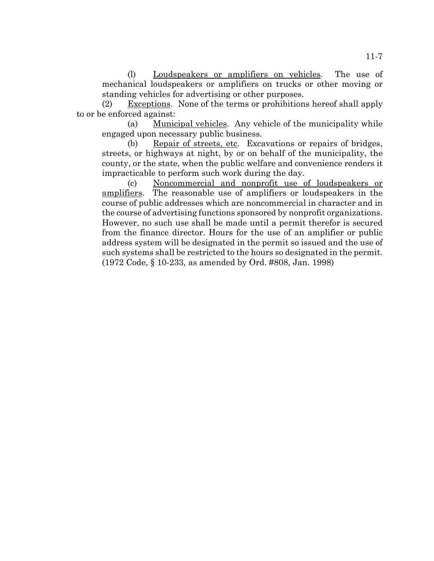(l) Loudspeakers or amplifiers on vehicles. The use of mechanical loudspeakers or amplifiers on trucks or other moving or standing vehicles for advertising or other purposes.

(2) Exceptions. None of the terms or prohibitions hereof shall apply to or be enforced against:

(a) Municipal vehicles. Any vehicle of the municipality while engaged upon necessary public business.

(b) Repair of streets, etc. Excavations or repairs of bridges, streets, or highways at night, by or on behalf of the municipality, the county, or the state, when the public welfare and convenience renders it impracticable to perform such work during the day.

(c) Noncommercial and nonprofit use of loudspeakers or amplifiers. The reasonable use of amplifiers or loudspeakers in the course of public addresses which are noncommercial in character and in the course of advertising functions sponsored by nonprofit organizations. However, no such use shall be made until a permit therefor is secured from the finance director. Hours for the use of an amplifier or public address system will be designated in the permit so issued and the use of such systems shall be restricted to the hours so designated in the permit. (1972 Code, § 10-233, as amended by Ord. #808, Jan. 1998)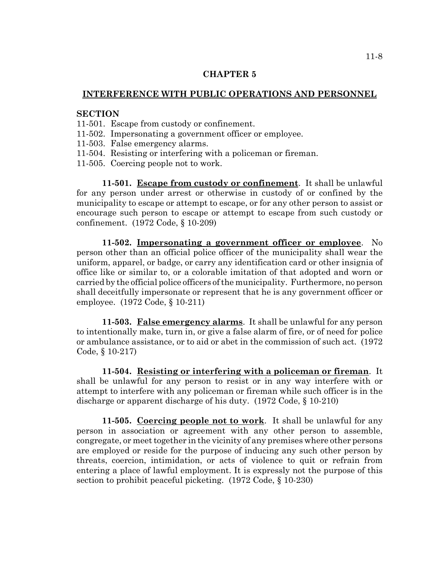# **INTERFERENCE WITH PUBLIC OPERATIONS AND PERSONNEL**

# **SECTION**

- 11-501. Escape from custody or confinement.
- 11-502. Impersonating a government officer or employee.
- 11-503. False emergency alarms.
- 11-504. Resisting or interfering with a policeman or fireman.
- 11-505. Coercing people not to work.

**11-501. Escape from custody or confinement**. It shall be unlawful for any person under arrest or otherwise in custody of or confined by the municipality to escape or attempt to escape, or for any other person to assist or encourage such person to escape or attempt to escape from such custody or confinement. (1972 Code, § 10-209)

**11-502. Impersonating a government officer or employee**. No person other than an official police officer of the municipality shall wear the uniform, apparel, or badge, or carry any identification card or other insignia of office like or similar to, or a colorable imitation of that adopted and worn or carried by the official police officers of the municipality. Furthermore, no person shall deceitfully impersonate or represent that he is any government officer or employee. (1972 Code, § 10-211)

**11-503. False emergency alarms**. It shall be unlawful for any person to intentionally make, turn in, or give a false alarm of fire, or of need for police or ambulance assistance, or to aid or abet in the commission of such act. (1972 Code, § 10-217)

**11-504. Resisting or interfering with a policeman or fireman**. It shall be unlawful for any person to resist or in any way interfere with or attempt to interfere with any policeman or fireman while such officer is in the discharge or apparent discharge of his duty. (1972 Code, § 10-210)

**11-505. Coercing people not to work**. It shall be unlawful for any person in association or agreement with any other person to assemble, congregate, or meet together in the vicinity of any premises where other persons are employed or reside for the purpose of inducing any such other person by threats, coercion, intimidation, or acts of violence to quit or refrain from entering a place of lawful employment. It is expressly not the purpose of this section to prohibit peaceful picketing. (1972 Code, § 10-230)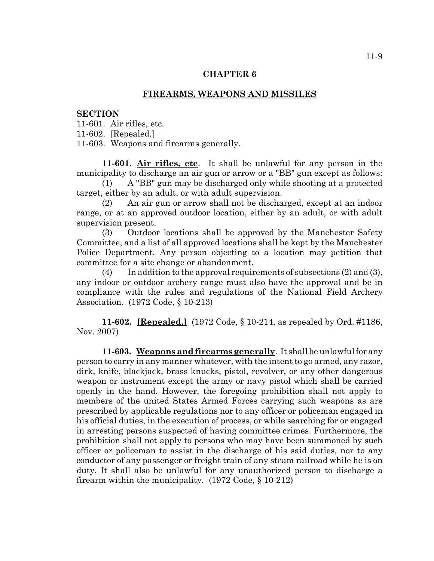#### **FIREARMS, WEAPONS AND MISSILES**

#### **SECTION**

11-601. Air rifles, etc.

11-602. [Repealed.]

11-603. Weapons and firearms generally.

**11-601. Air rifles, etc**. It shall be unlawful for any person in the municipality to discharge an air gun or arrow or a "BB" gun except as follows:

(1) A "BB" gun may be discharged only while shooting at a protected target, either by an adult, or with adult supervision.

(2) An air gun or arrow shall not be discharged, except at an indoor range, or at an approved outdoor location, either by an adult, or with adult supervision present.

(3) Outdoor locations shall be approved by the Manchester Safety Committee, and a list of all approved locations shall be kept by the Manchester Police Department. Any person objecting to a location may petition that committee for a site change or abandonment.

(4) In addition to the approval requirements of subsections  $(2)$  and  $(3)$ , any indoor or outdoor archery range must also have the approval and be in compliance with the rules and regulations of the National Field Archery Association. (1972 Code, § 10-213)

**11-602. [Repealed.]** (1972 Code, § 10-214, as repealed by Ord. #1186, Nov. 2007)

**11-603. Weapons and firearms generally**. It shall be unlawful for any person to carry in any manner whatever, with the intent to go armed, any razor, dirk, knife, blackjack, brass knucks, pistol, revolver, or any other dangerous weapon or instrument except the army or navy pistol which shall be carried openly in the hand. However, the foregoing prohibition shall not apply to members of the united States Armed Forces carrying such weapons as are prescribed by applicable regulations nor to any officer or policeman engaged in his official duties, in the execution of process, or while searching for or engaged in arresting persons suspected of having committee crimes. Furthermore, the prohibition shall not apply to persons who may have been summoned by such officer or policeman to assist in the discharge of his said duties, nor to any conductor of any passenger or freight train of any steam railroad while he is on duty. It shall also be unlawful for any unauthorized person to discharge a firearm within the municipality. (1972 Code, § 10-212)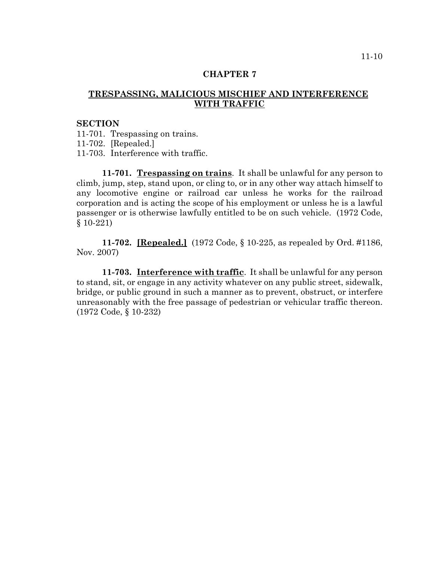# **TRESPASSING, MALICIOUS MISCHIEF AND INTERFERENCE WITH TRAFFIC**

#### **SECTION**

11-701. Trespassing on trains.

11-702. [Repealed.]

11-703. Interference with traffic.

**11-701. Trespassing on trains**. It shall be unlawful for any person to climb, jump, step, stand upon, or cling to, or in any other way attach himself to any locomotive engine or railroad car unless he works for the railroad corporation and is acting the scope of his employment or unless he is a lawful passenger or is otherwise lawfully entitled to be on such vehicle. (1972 Code, § 10-221)

**11-702. [Repealed.]** (1972 Code, § 10-225, as repealed by Ord. #1186, Nov. 2007)

**11-703. Interference with traffic**. It shall be unlawful for any person to stand, sit, or engage in any activity whatever on any public street, sidewalk, bridge, or public ground in such a manner as to prevent, obstruct, or interfere unreasonably with the free passage of pedestrian or vehicular traffic thereon. (1972 Code, § 10-232)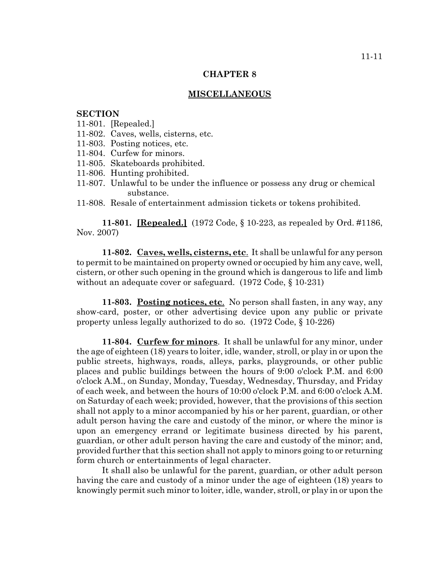#### **MISCELLANEOUS**

### **SECTION**

- 11-801. [Repealed.]
- 11-802. Caves, wells, cisterns, etc.
- 11-803. Posting notices, etc.
- 11-804. Curfew for minors.
- 11-805. Skateboards prohibited.
- 11-806. Hunting prohibited.
- 11-807. Unlawful to be under the influence or possess any drug or chemical substance.
- 11-808. Resale of entertainment admission tickets or tokens prohibited.

**11-801. [Repealed.]** (1972 Code, § 10-223, as repealed by Ord. #1186, Nov. 2007)

**11-802. Caves, wells, cisterns, etc**. It shall be unlawful for any person to permit to be maintained on property owned or occupied by him any cave, well, cistern, or other such opening in the ground which is dangerous to life and limb without an adequate cover or safeguard. (1972 Code, § 10-231)

**11-803. Posting notices, etc**. No person shall fasten, in any way, any show-card, poster, or other advertising device upon any public or private property unless legally authorized to do so. (1972 Code, § 10-226)

**11-804. Curfew for minors**. It shall be unlawful for any minor, under the age of eighteen (18) years to loiter, idle, wander, stroll, or play in or upon the public streets, highways, roads, alleys, parks, playgrounds, or other public places and public buildings between the hours of 9:00 o'clock P.M. and 6:00 o'clock A.M., on Sunday, Monday, Tuesday, Wednesday, Thursday, and Friday of each week, and between the hours of 10:00 o'clock P.M. and 6:00 o'clock A.M. on Saturday of each week; provided, however, that the provisions of this section shall not apply to a minor accompanied by his or her parent, guardian, or other adult person having the care and custody of the minor, or where the minor is upon an emergency errand or legitimate business directed by his parent, guardian, or other adult person having the care and custody of the minor; and, provided further that this section shall not apply to minors going to or returning form church or entertainments of legal character.

It shall also be unlawful for the parent, guardian, or other adult person having the care and custody of a minor under the age of eighteen (18) years to knowingly permit such minor to loiter, idle, wander, stroll, or play in or upon the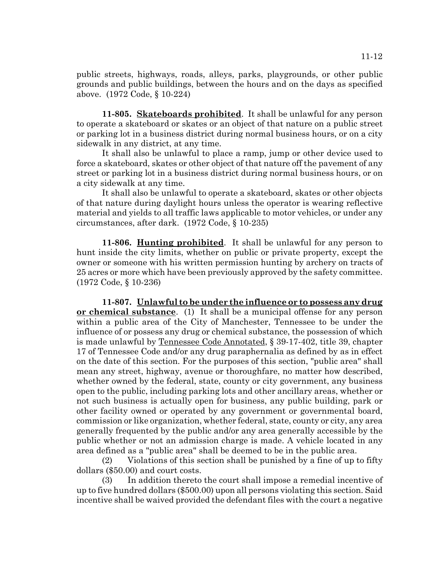public streets, highways, roads, alleys, parks, playgrounds, or other public grounds and public buildings, between the hours and on the days as specified above. (1972 Code, § 10-224)

**11-805. Skateboards prohibited**. It shall be unlawful for any person to operate a skateboard or skates or an object of that nature on a public street or parking lot in a business district during normal business hours, or on a city sidewalk in any district, at any time.

It shall also be unlawful to place a ramp, jump or other device used to force a skateboard, skates or other object of that nature off the pavement of any street or parking lot in a business district during normal business hours, or on a city sidewalk at any time.

It shall also be unlawful to operate a skateboard, skates or other objects of that nature during daylight hours unless the operator is wearing reflective material and yields to all traffic laws applicable to motor vehicles, or under any circumstances, after dark. (1972 Code, § 10-235)

**11-806. Hunting prohibited**. It shall be unlawful for any person to hunt inside the city limits, whether on public or private property, except the owner or someone with his written permission hunting by archery on tracts of 25 acres or more which have been previously approved by the safety committee. (1972 Code, § 10-236)

**11-807. Unlawful to be under the influence or to possess any drug or chemical substance**. (1) It shall be a municipal offense for any person within a public area of the City of Manchester, Tennessee to be under the influence of or possess any drug or chemical substance, the possession of which is made unlawful by Tennessee Code Annotated, § 39-17-402, title 39, chapter 17 of Tennessee Code and/or any drug paraphernalia as defined by as in effect on the date of this section. For the purposes of this section, "public area" shall mean any street, highway, avenue or thoroughfare, no matter how described, whether owned by the federal, state, county or city government, any business open to the public, including parking lots and other ancillary areas, whether or not such business is actually open for business, any public building, park or other facility owned or operated by any government or governmental board, commission or like organization, whether federal, state, county or city, any area generally frequented by the public and/or any area generally accessible by the public whether or not an admission charge is made. A vehicle located in any area defined as a "public area" shall be deemed to be in the public area.

(2) Violations of this section shall be punished by a fine of up to fifty dollars (\$50.00) and court costs.

(3) In addition thereto the court shall impose a remedial incentive of up to five hundred dollars (\$500.00) upon all persons violating this section. Said incentive shall be waived provided the defendant files with the court a negative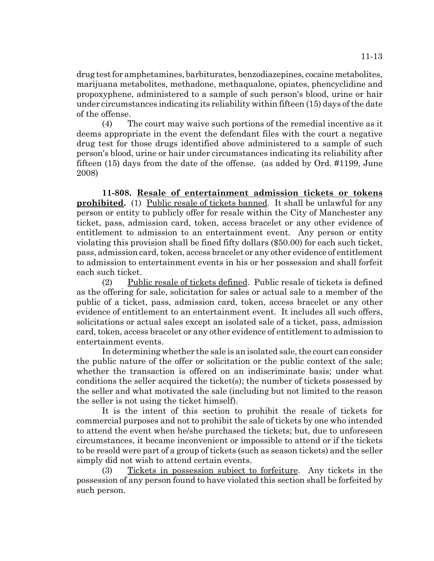drug test for amphetamines, barbiturates, benzodiazepines, cocaine metabolites, marijuana metabolites, methadone, methaqualone, opiates, phencyclidine and propoxyphene, administered to a sample of such person's blood, urine or hair under circumstances indicating its reliability within fifteen (15) days of the date of the offense.

(4) The court may waive such portions of the remedial incentive as it deems appropriate in the event the defendant files with the court a negative drug test for those drugs identified above administered to a sample of such person's blood, urine or hair under circumstances indicating its reliability after fifteen (15) days from the date of the offense. (as added by Ord. #1199, June 2008)

**11-808. Resale of entertainment admission tickets or tokens prohibited.** (1) Public resale of tickets banned. It shall be unlawful for any person or entity to publicly offer for resale within the City of Manchester any ticket, pass, admission card, token, access bracelet or any other evidence of entitlement to admission to an entertainment event. Any person or entity violating this provision shall be fined fifty dollars (\$50.00) for each such ticket, pass, admission card, token, access bracelet or any other evidence of entitlement to admission to entertainment events in his or her possession and shall forfeit each such ticket.

(2) Public resale of tickets defined. Public resale of tickets is defined as the offering for sale, solicitation for sales or actual sale to a member of the public of a ticket, pass, admission card, token, access bracelet or any other evidence of entitlement to an entertainment event. It includes all such offers, solicitations or actual sales except an isolated sale of a ticket, pass, admission card, token, access bracelet or any other evidence of entitlement to admission to entertainment events.

In determining whether the sale is an isolated sale, the court can consider the public nature of the offer or solicitation or the public context of the sale; whether the transaction is offered on an indiscriminate basis; under what conditions the seller acquired the ticket(s); the number of tickets possessed by the seller and what motivated the sale (including but not limited to the reason the seller is not using the ticket himself).

It is the intent of this section to prohibit the resale of tickets for commercial purposes and not to prohibit the sale of tickets by one who intended to attend the event when he/she purchased the tickets; but, due to unforeseen circumstances, it became inconvenient or impossible to attend or if the tickets to be resold were part of a group of tickets (such as season tickets) and the seller simply did not wish to attend certain events.

(3) Tickets in possession subject to forfeiture. Any tickets in the possession of any person found to have violated this section shall be forfeited by such person.